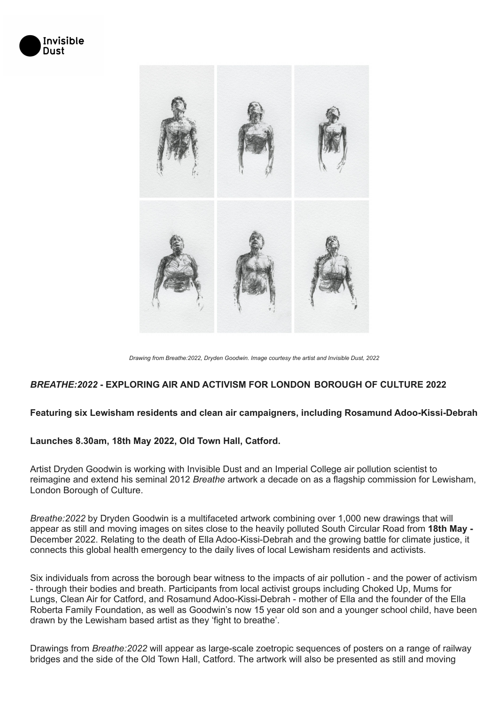



*Drawing from Breathe:2022, Dryden Goodwin. Image courtesy the artist and Invisible Dust, 2022*

#### *BREATHE:2022* **- EXPLORING AIR AND ACTIVISM FOR LONDON BOROUGH OF CULTURE 2022**

#### **Featuring six Lewisham residents and clean air campaigners, including Rosamund Adoo-Kissi-Debrah**

#### **Launches 8.30am, 18th May 2022, Old Town Hall, Catford.**

Artist Dryden Goodwin is working with Invisible Dust and an Imperial College air pollution scientist to reimagine and extend his seminal 2012 *Breathe* artwork a decade on as a flagship commission for Lewisham, London Borough of Culture.

*Breathe:2022* by Dryden Goodwin is a multifaceted artwork combining over 1,000 new drawings that will appear as still and moving images on sites close to the heavily polluted South Circular Road from **18th May -** December 2022. Relating to the death of Ella Adoo-Kissi-Debrah and the growing battle for climate justice, it connects this global health emergency to the daily lives of local Lewisham residents and activists.

Six individuals from across the borough bear witness to the impacts of air pollution - and the power of activism - through their bodies and breath. Participants from local activist groups including Choked Up, Mums for Lungs, Clean Air for Catford, and Rosamund Adoo-Kissi-Debrah - mother of Ella and the founder of the Ella Roberta Family Foundation, as well as Goodwin's now 15 year old son and a younger school child, have been drawn by the Lewisham based artist as they 'fight to breathe'.

Drawings from *Breathe:2022* will appear as large-scale zoetropic sequences of posters on a range of railway bridges and the side of the Old Town Hall, Catford. The artwork will also be presented as still and moving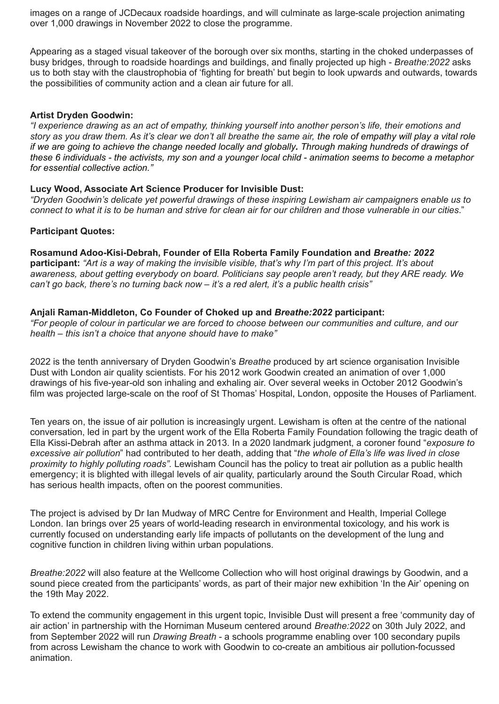images on a range of JCDecaux roadside hoardings, and will culminate as large-scale projection animating over 1,000 drawings in November 2022 to close the programme.

Appearing as a staged visual takeover of the borough over six months, starting in the choked underpasses of busy bridges, through to roadside hoardings and buildings, and finally projected up high - *Breathe:2022* asks us to both stay with the claustrophobia of 'fighting for breath' but begin to look upwards and outwards, towards the possibilities of community action and a clean air future for all.

## **Artist Dryden Goodwin:**

"I experience drawing as an act of empathy, thinking yourself into another person's life, their emotions and story as you draw them. As it's clear we don't all breathe the same air, the role of empathy will play a vital role if we are going to achieve the change needed locally and globally. Through making hundreds of drawings of these 6 individuals - the activists, my son and a younger local child - animation seems to become a metaphor *for essential collective action."*

## **Lucy Wood, Associate Art Science Producer for Invisible Dust:**

*"Dryden Goodwin's delicate yet powerful drawings of these inspiring Lewisham air campaigners enable us to* connect to what it is to be human and strive for clean air for our children and those vulnerable in our cities."

## **Participant Quotes:**

**Rosamund Adoo-Kisi-Debrah, Founder of Ella Roberta Family Foundation and** *Breathe: 2022* participant: "Art is a way of making the invisible visible, that's why I'm part of this project. It's about *awareness, about getting everybody on board. Politicians say people aren't ready, but they ARE ready. We can't go back, there's no turning back now – it's a red alert, it's a public health crisis"*

## **Anjali Raman-Middleton, Co Founder of Choked up and** *Breathe:2022* **participant:**

"For people of colour in particular we are forced to choose between our communities and culture, and our *health – this isn't a choice that anyone should have to make"*

2022 is the tenth anniversary of Dryden Goodwin's *Breathe* produced by art science organisation Invisible Dust with London air quality scientists. For his 2012 work Goodwin created an animation of over 1,000 drawings of his five-year-old son inhaling and exhaling air. Over several weeks in October 2012 Goodwin's film was projected large-scale on the roof of St Thomas' Hospital, London, opposite the Houses of Parliament.

Ten years on, the issue of air pollution is increasingly urgent. Lewisham is often at the centre of the national conversation, led in part by the urgent work of the Ella Roberta Family Foundation following the tragic death of Ella Kissi-Debrah after an asthma attack in 2013. In a 2020 landmark judgment, a coroner found "*exposure to excessive air pollution*" had contributed to her death, adding that "*the whole of Ella's life was lived in close proximity to highly polluting roads".* Lewisham Council has the policy to treat air pollution as a public health emergency; it is blighted with illegal levels of air quality, particularly around the South Circular Road, which has serious health impacts, often on the poorest communities.

The project is advised by Dr Ian Mudway of MRC Centre for Environment and Health, Imperial College London. Ian brings over 25 years of world-leading research in environmental toxicology, and his work is currently focused on understanding early life impacts of pollutants on the development of the lung and cognitive function in children living within urban populations.

*Breathe:2022* will also feature at the Wellcome Collection who will host original drawings by Goodwin, and a sound piece created from the participants' words, as part of their major new exhibition 'In the Air' opening on the 19th May 2022.

To extend the community engagement in this urgent topic, Invisible Dust will present a free 'community day of air action' in partnership with the Horniman Museum centered around *Breathe:2022* on 30th July 2022, and from September 2022 will run *Drawing Breath* - a schools programme enabling over 100 secondary pupils from across Lewisham the chance to work with Goodwin to co-create an ambitious air pollution-focussed animation.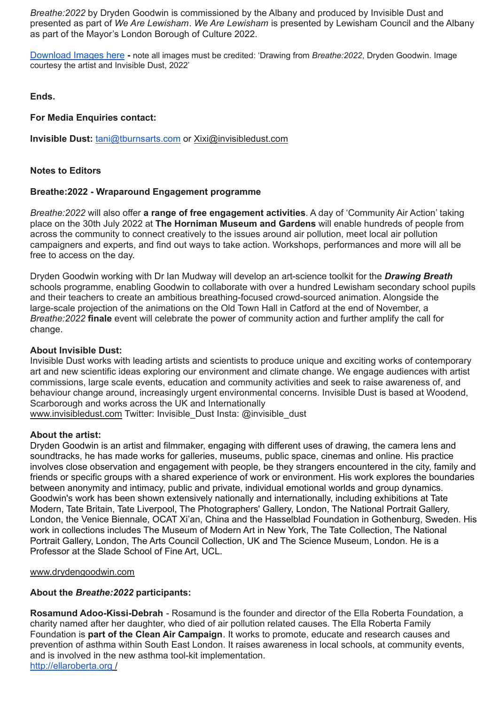*Breathe:2022* by Dryden Goodwin is commissioned by the Albany and produced by Invisible Dust and presented as part of *We Are Lewisham*. *We Are [Lewisham](http://www.wearelewisham.com/)* is presented by Lewisham Council and the Albany as part of the Mayor's London Borough of Culture 2022.

[Download](https://www.dropbox.com/sh/aawnkchc38m8ki1/AABzJpH89_8ztQYQNrJP-qGWa?dl=0) Images here **-** note all images must be credited: 'Drawing from *Breathe:2022*, Dryden Goodwin. Image courtesy the artist and Invisible Dust, 2022'

**Ends.**

## **For Media Enquiries contact:**

**Invisible Dust:** [tani@tburnsarts.com](mailto:tani@tburnsarts.com) or [Xixi@invisibledust.com](mailto:Xixi@invisibledust.com)

## **Notes to Editors**

## **Breathe:2022 - Wraparound Engagement programme**

*Breathe:2022* will also offer **a range of free engagement activities**. A day of 'Community Air Action' taking place on the 30th July 2022 at **The Horniman Museum and Gardens** will enable hundreds of people from across the community to connect creatively to the issues around air pollution, meet local air pollution campaigners and experts, and find out ways to take action. Workshops, performances and more will all be free to access on the day.

Dryden Goodwin working with Dr Ian Mudway will develop an art-science toolkit for the *Drawing Breath* schools programme, enabling Goodwin to collaborate with over a hundred Lewisham secondary school pupils and their teachers to create an ambitious breathing-focused crowd-sourced animation. Alongside the large-scale projection of the animations on the Old Town Hall in Catford at the end of November, a *Breathe:2022* **finale** event will celebrate the power of community action and further amplify the call for change.

#### **About Invisible Dust:**

Invisible Dust works with leading artists and scientists to produce unique and exciting works of contemporary art and new scientific ideas exploring our environment and climate change. We engage audiences with artist commissions, large scale events, education and community activities and seek to raise awareness of, and behaviour change around, increasingly urgent environmental concerns. Invisible Dust is based at Woodend, Scarborough and works across the UK and Internationally [www.invisibledust.com](http://www.invisibledust.com) Twitter: Invisible\_Dust Insta: @invisible\_dust

## **About the artist:**

Dryden Goodwin is an artist and filmmaker, engaging with different uses of drawing, the camera lens and soundtracks, he has made works for galleries, museums, public space, cinemas and online. His practice involves close observation and engagement with people, be they strangers encountered in the city, family and friends or specific groups with a shared experience of work or environment. His work explores the boundaries between anonymity and intimacy, public and private, individual emotional worlds and group dynamics. Goodwin's work has been shown extensively nationally and internationally, including exhibitions at Tate Modern, Tate Britain, Tate Liverpool, The Photographers' Gallery, London, The National Portrait Gallery, London, the Venice Biennale, OCAT Xi'an, China and the Hasselblad Foundation in Gothenburg, Sweden. His work in collections includes The Museum of Modern Art in New York, The Tate Collection, The National Portrait Gallery, London, The Arts Council Collection, UK and The Science Museum, London. He is a Professor at the Slade School of Fine Art, UCL.

[www.drydengoodwin.com](http://www.drydengoodwin.com)

## **About the** *Breathe:2022* **participants:**

**Rosamund Adoo-Kissi-Debrah** - Rosamund is the founder and director of the Ella Roberta Foundation, a charity named after her daughter, who died of air pollution related causes. The Ella Roberta Family Foundation is **part of the Clean Air Campaign**. It works to promote, educate and research causes and prevention of asthma within South East London. It raises awareness in local schools, at community events, and is involved in the new asthma tool-kit implementation. <http://ellaroberta.org> /